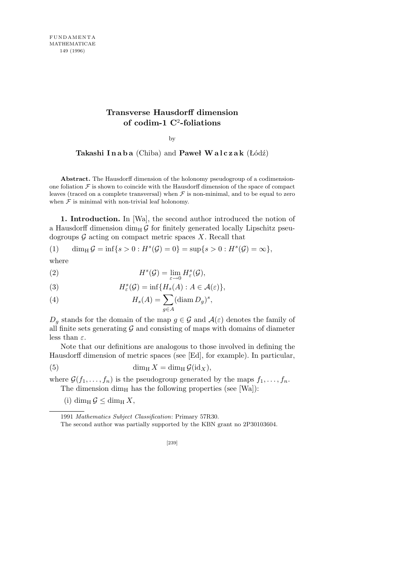## **Transverse Hausdorff dimension of codim-1 C**<sup>2</sup> **-foliations**

by

**Takashi I n a b a** (Chiba) and **Paweł W a l c z a k** (Łódź)

**Abstract.** The Hausdorff dimension of the holonomy pseudogroup of a codimensionone foliation  $\mathcal F$  is shown to coincide with the Hausdorff dimension of the space of compact leaves (traced on a complete transversal) when  $\mathcal F$  is non-minimal, and to be equal to zero when  $F$  is minimal with non-trivial leaf holonomy.

**1. Introduction.** In [Wa], the second author introduced the notion of a Hausdorff dimension  $\dim_{\text{H}} \mathcal{G}$  for finitely generated locally Lipschitz pseudogroups  $G$  acting on compact metric spaces  $X$ . Recall that

(1) 
$$
\dim_{\rm H} \mathcal{G} = \inf \{ s > 0 : H^s(\mathcal{G}) = 0 \} = \sup \{ s > 0 : H^s(\mathcal{G}) = \infty \},
$$

where

(2) 
$$
H^s(\mathcal{G}) = \lim_{\varepsilon \to 0} H^s_{\varepsilon}(\mathcal{G}),
$$

(3) 
$$
H_{\varepsilon}^{s}(\mathcal{G}) = \inf\{H_{s}(A) : A \in \mathcal{A}(\varepsilon)\},
$$

(4) 
$$
H_s(A) = \sum_{g \in A} (\text{diam } D_g)^s,
$$

 $D_g$  stands for the domain of the map  $g \in \mathcal{G}$  and  $\mathcal{A}(\varepsilon)$  denotes the family of all finite sets generating  $G$  and consisting of maps with domains of diameter less than *ε*.

Note that our definitions are analogous to those involved in defining the Hausdorff dimension of metric spaces (see [Ed], for example). In particular,

(5) 
$$
\dim_{\mathrm{H}} X = \dim_{\mathrm{H}} \mathcal{G}(\mathrm{id}_X),
$$

where  $\mathcal{G}(f_1, \ldots, f_n)$  is the pseudogroup generated by the maps  $f_1, \ldots, f_n$ . The dimension  $\dim_H$  has the following properties (see [Wa]):

(i) dim<sub>H</sub>  $\mathcal{G} \le$  dim<sub>H</sub>  $X$ ,

<sup>1991</sup> *Mathematics Subject Classification*: Primary 57R30.

The second author was partially supported by the KBN grant no 2P30103604.

<sup>[239]</sup>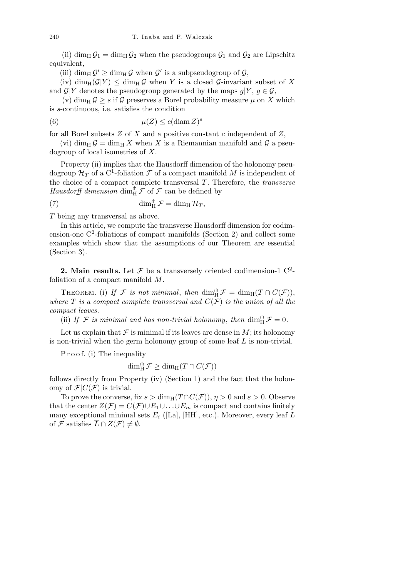(ii) dim<sub>H</sub>  $\mathcal{G}_1 = \dim_H \mathcal{G}_2$  when the pseudogroups  $\mathcal{G}_1$  and  $\mathcal{G}_2$  are Lipschitz equivalent,

(iii) dim<sub>H</sub>  $\mathcal{G}' \ge \dim_{\mathrm{H}} \mathcal{G}$  when  $\mathcal{G}'$  is a subpseudogroup of  $\mathcal{G}$ ,

(iv) dim<sub>H</sub>( $\mathcal{G}|Y$ )  $\leq$  dim<sub>H</sub> $\mathcal{G}$  when *Y* is a closed  $\mathcal{G}$ -invariant subset of *X* and  $\mathcal{G}|Y$  denotes the pseudogroup generated by the maps  $g|Y, g \in \mathcal{G}$ ,

(v) dim<sub>H</sub>  $\mathcal{G} \geq s$  if  $\mathcal{G}$  preserves a Borel probability measure  $\mu$  on X which is *s*-continuous, i.e. satisfies the condition

(6) 
$$
\mu(Z) \leq c(\text{diam } Z)^s
$$

for all Borel subsets *Z* of *X* and a positive constant *c* independent of *Z*,

(vi) dim<sub>H</sub>  $\mathcal{G} = \dim_H X$  when X is a Riemannian manifold and  $\mathcal{G}$  a pseudogroup of local isometries of *X*.

Property (ii) implies that the Hausdorff dimension of the holonomy pseudogroup  $\mathcal{H}_T$  of a C<sup>1</sup>-foliation  $\mathcal F$  of a compact manifold  $M$  is independent of the choice of a compact complete transversal *T*. Therefore, the *transverse* Hausdorff dimension  $\dim_H^{\mathsf{fh}} \mathcal{F}$  of  $\mathcal{F}$  can be defined by

(7) 
$$
\dim_{\mathrm{H}}^{\pitchfork} \mathcal{F} = \dim_{\mathrm{H}} \mathcal{H}_T,
$$

*T* being any transversal as above.

In this article, we compute the transverse Hausdorff dimension for codimension-one  $C^2$ -foliations of compact manifolds (Section 2) and collect some examples which show that the assumptions of our Theorem are essential (Section 3).

**2. Main results.** Let  $\mathcal F$  be a transversely oriented codimension-1  $C^2$ foliation of a compact manifold *M*.

THEOREM. (i) If  $\mathcal{F}$  *is not minimal*, *then* dim<sub>H</sub><sup> $\uparrow$ </sup>  $\mathcal{F}$  = dim<sub>H</sub>(T  $\cap$   $C(\mathcal{F})$ ), *where*  $T$  *is a compact complete transversal and*  $C(F)$  *is the union of all the compact leaves.*

(ii) If  $\mathcal{F}$  *is minimal and has non-trivial holonomy, then*  $\dim_H^{\hat{\mathbb{m}}} \mathcal{F} = 0$ .

Let us explain that  $\mathcal F$  is minimal if its leaves are dense in  $M$ ; its holonomy is non-trivial when the germ holonomy group of some leaf *L* is non-trivial.

P r o o f. (i) The inequality

$$
\dim_{\mathrm{H}}^{\pitchfork} \mathcal{F} \geq \dim_{\mathrm{H}} (T \cap C(\mathcal{F}))
$$

follows directly from Property (iv) (Section 1) and the fact that the holonomy of  $\mathcal{F}|C(\mathcal{F})$  is trivial.

To prove the converse, fix  $s > \dim_{\mathbb{H}}(T \cap C(\mathcal{F}))$ ,  $\eta > 0$  and  $\varepsilon > 0$ . Observe that the center  $Z(\mathcal{F}) = C(\mathcal{F}) \cup E_1 \cup \ldots \cup E_m$  is compact and contains finitely many exceptional minimal sets  $E_i$  ([La], [HH], etc.). Moreover, every leaf  $L$ of *F* satisfies  $\overline{L} \cap Z(\mathcal{F}) \neq \emptyset$ .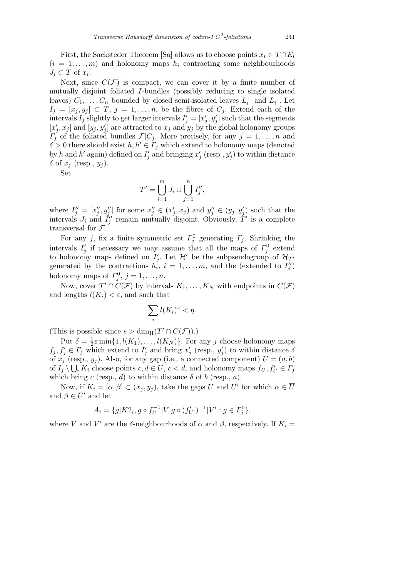First, the Sacksteder Theorem [Sa] allows us to choose points  $x_i \in T \cap E_i$  $(i = 1, \ldots, m)$  and holonomy maps  $h_i$  contracting some neighbourhoods  $J_i \subset T$  of  $x_i$ .

Next, since  $C(\mathcal{F})$  is compact, we can cover it by a finite number of mutually disjoint foliated *I*-bundles (possibly reducing to single isolated leaves)  $C_1, \ldots, C_n$  bounded by closed semi-isolated leaves  $L_i^+$  and  $L_i^-$ . Let  $I_j = [x_j, y_j] \subset T, j = 1, \ldots, n$ , be the fibres of  $C_j$ . Extend each of the intervals  $I_j$  slightly to get larger intervals  $I'_j = [x'_j, y'_j]$  such that the segments  $[x'_j, x_j]$  and  $[y_j, y'_j]$  are attracted to  $x_j$  and  $y_j$  by the global holonomy groups *Γ*<sup>*j*</sup> of the foliated bundles  $\mathcal{F}|C_j$ . More precisely, for any  $j = 1, \ldots, n$  and  $\delta > 0$  there should exist  $h, h' \in \Gamma_j$  which extend to holonomy maps (denoted by *h* and *h*<sup>*'*</sup> again) defined on  $I'_j$  and bringing  $x'_j$  (resp.,  $y'_j$ ) to within distance *δ* of  $x_j$  (resp.,  $y_j$ ).

Set

$$
T' = \bigcup_{i=1}^m J_i \cup \bigcup_{j=1}^n I''_j,
$$

where  $I''_j = [x''_j, y''_j]$  for some  $x''_j \in (x'_j, x_j)$  and  $y''_j \in (y_j, y'_j)$  such that the intervals  $J_i$  and  $I''_j$  remain mutually disjoint. Obviously,  $T'$  is a complete transversal for *F*.

For any *j*, fix a finite symmetric set  $\Gamma_j^0$  generating  $\Gamma_j$ . Shrinking the intervals  $I'_j$  if necessary we may assume that all the maps of  $\Gamma_j^0$  extend to holonomy maps defined on  $I'_j$ . Let  $\mathcal{H}'$  be the subpseudogroup of  $\mathcal{H}_{T'}$ generated by the contractions  $h_i$ ,  $i = 1, \ldots, m$ , and the (extended to  $I_j''$ ) holonomy maps of  $\Gamma_j^0$ ,  $j = 1, \ldots, n$ .

Now, cover  $T' \cap C(\mathcal{F})$  by intervals  $K_1, \ldots, K_N$  with endpoints in  $C(\mathcal{F})$ and lengths  $l(K_i) < \varepsilon$ , and such that

$$
\sum_{i} l(K_{i})^{s} < \eta.
$$

(This is possible since  $s > \dim_{\mathrm{H}}(T' \cap C(\mathcal{F}))$ .)

Put  $\delta = \frac{1}{2}$  $\frac{1}{2}\varepsilon \min\{1, l(K_1), \ldots, l(K_N)\}\.$  For any *j* choose holonomy maps  $f_j, f'_j \in \Gamma_j$  which extend to  $I'_j$  and bring  $x'_j$  (resp.,  $y'_j$ ) to within distance  $\delta$ of  $x_j$  (resp.,  $y_j$ ). Also, for any gap (i.e., a connected component)  $U = (a, b)$ of  $I_j \setminus \bigcup_i K_i$  choose points  $c, d \in U, c < d$ , and holonomy maps  $f_U, f'_U \in \Gamma_j$ which bring  $c$  (resp.,  $d$ ) to within distance  $\delta$  of  $b$  (resp.,  $a$ ).

Now, if  $K_i = [\alpha, \beta] \subset (x_j, y_j)$ , take the gaps *U* and *U'* for which  $\alpha \in \overline{U}$ and  $\beta \in \overline{U}'$  and let

$$
A_i = \{ g | K2_i, g \circ f_U^{-1} | V, g \circ (f'_{U'})^{-1} | V' : g \in \Gamma_j^0 \},
$$

where *V* and *V'* are the *δ*-neighbourhoods of  $\alpha$  and  $\beta$ , respectively. If  $K_i =$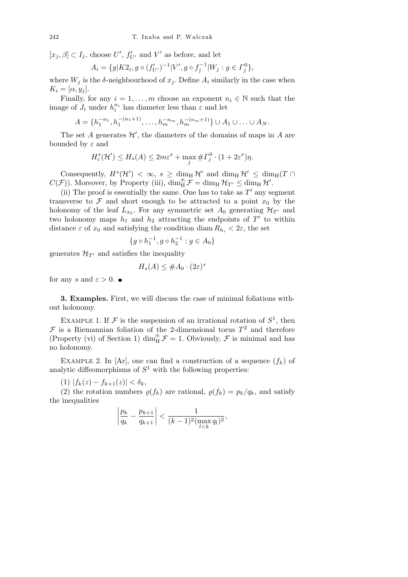$[x_j, \beta] \subset I_j$ , choose  $U'$ ,  $f'_{U'}$  and  $V'$  as before, and let

$$
A_i = \{ g | K2_i, g \circ (f'_{U'})^{-1} | V', g \circ f_j^{-1} | W_j : g \in \Gamma_j^0 \},
$$

where  $W_j$  is the  $\delta$ -neighbourhood of  $x_j$ . Define  $A_i$  similarly in the case when  $K_i = [\alpha, y_i].$ 

Finally, for any  $i = 1, \ldots, m$  choose an exponent  $n_i \in \mathbb{N}$  such that the image of  $J_i$  under  $h_i^{n_i}$  has diameter less than  $\varepsilon$  and let

$$
A = \{h_1^{-n_1}, h_1^{-(n_1+1)}, \dots, h_m^{-n_m}, h_m^{-(n_m+1)}\} \cup A_1 \cup \dots \cup A_N.
$$

The set  $A$  generates  $\mathcal{H}'$ , the diameters of the domains of maps in  $A$  are bounded by *ε* and

$$
H_{\varepsilon}^{s}(\mathcal{H}') \leq H_{s}(A) \leq 2m\varepsilon^{s} + \max_{j} \# \Gamma_{j}^{0} \cdot (1 + 2\varepsilon^{s})\eta.
$$

Consequently,  $H^s(\mathcal{H}') < \infty$ ,  $s \geq \dim_H \mathcal{H}'$  and  $\dim_H \mathcal{H}' \leq \dim_H (T \cap$  $C(\mathcal{F})$ ). Moreover, by Property (iii),  $\dim_{\mathrm{H}}^{\pitchfork} \mathcal{F} = \dim_{\mathrm{H}} \mathcal{H}_{T'} \leq \dim_{\mathrm{H}} \mathcal{H}'$ .

(ii) The proof is essentially the same. One has to take as  $T'$  any segment transverse to  $\mathcal F$  and short enough to be attracted to a point  $x_0$  by the holonomy of the leaf  $L_{x_0}$ . For any symmetric set  $A_0$  generating  $\mathcal{H}_{T'}$  and two holonomy maps  $h_1$  and  $h_2$  attracting the endpoints of  $T'$  to within distance  $\varepsilon$  of  $x_0$  and satisfying the condition diam  $R_{h_i} < 2\varepsilon$ , the set

$$
\{g\circ h_1^{-1},g\circ h_2^{-1}:g\in A_0\}
$$

generates  $\mathcal{H}_{T}$  and satisfies the inequality

$$
H_s(A) \leq \#A_0 \cdot (2\varepsilon)^s
$$

for any *s* and  $\varepsilon > 0$ .

**3. Examples.** First, we will discuss the case of minimal foliations without holonomy.

EXAMPLE 1. If  $\mathcal F$  is the suspension of an irrational rotation of  $S^1$ , then  $\mathcal F$  is a Riemannian foliation of the 2-dimensional torus  $T^2$  and therefore (Property (vi) of Section 1)  $\dim_H^{\mathcal{m}} \mathcal{F} = 1$ . Obviously,  $\mathcal{F}$  is minimal and has no holonomy.

EXAMPLE 2. In  $[Ar]$ , one can find a construction of a sequence  $(f_k)$  of analytic diffeomorphisms of  $S<sup>1</sup>$  with the following properties:

 $(1)$   $|f_k(z) - f_{k+1}(z)| < \delta_k$ ,

(2) the rotation numbers  $\varrho(f_k)$  are rational,  $\varrho(f_k) = p_k/q_k$ , and satisfy the inequalities l, l,

$$
\left|\frac{p_k}{q_k}-\frac{p_{k+1}}{q_{k+1}}\right| < \frac{1}{(k-1)^2(\max_{l\le k} q_l)^2},
$$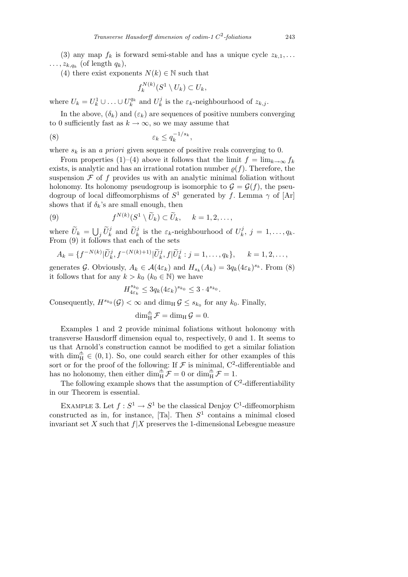(3) any map  $f_k$  is forward semi-stable and has a unique cycle  $z_{k,1}, \ldots$  $\ldots$ ,  $z_{k,q_k}$  (of length  $q_k$ ),

(4) there exist exponents  $N(k) \in \mathbb{N}$  such that

$$
f_k^{N(k)}(S^1 \setminus U_k) \subset U_k,
$$

where  $U_k = U_k^1 \cup \ldots \cup U_k^{q_k}$  and  $U_k^j$  $\hat{\mathbf{z}}_k^j$  is the  $\varepsilon_k$ -neighbourhood of  $z_{k,j}$ .

In the above,  $(\delta_k)$  and  $(\varepsilon_k)$  are sequences of positive numbers converging to 0 sufficiently fast as  $k \to \infty$ , so we may assume that

$$
(8) \t\t \varepsilon_k \le q_k^{-1/s_k},
$$

where  $s_k$  is an *a priori* given sequence of positive reals converging to 0.

From properties (1)–(4) above it follows that the limit  $f = \lim_{k \to \infty} f_k$ exists, is analytic and has an irrational rotation number  $\rho(f)$ . Therefore, the suspension  $\mathcal F$  of  $f$  provides us with an analytic minimal foliation without holonomy. Its holonomy pseudogroup is isomorphic to  $\mathcal{G} = \mathcal{G}(f)$ , the pseudogroup of local diffeomorphisms of  $S^1$  generated by *f*. Lemma  $\gamma$  of [Ar] shows that if  $\delta_k$ 's are small enough, then

(9) 
$$
f^{N(k)}(S^1 \setminus \widetilde{U}_k) \subset \widetilde{U}_k, \quad k = 1, 2, \ldots,
$$

where  $\widetilde{U}_k = \bigcup_j \widetilde{U}_k^j$  and  $\widetilde{U}_k^j$  is the  $\varepsilon_k$ -neighbourhood of  $U_k^j$  $j_{k}^{j}, j = 1, \ldots, q_{k}.$ From (9) it follows that each of the sets

$$
A_k = \{ f^{-N(k)} | \widetilde{U}_k^j, f^{-(N(k)+1)} | \widetilde{U}_k^j, f | \widetilde{U}_k^j : j = 1, \dots, q_k \}, \quad k = 1, 2, \dots,
$$

generates *G*. Obviously,  $A_k \in \mathcal{A}(4\varepsilon_k)$  and  $H_{s_k}(A_k) = 3q_k(4\varepsilon_k)^{s_k}$ . From (8) it follows that for any  $k > k_0$  ( $k_0 \in \mathbb{N}$ ) we have

$$
H_{4\varepsilon_k}^{s_{k_0}} \leq 3q_k (4\varepsilon_k)^{s_{k_0}} \leq 3 \cdot 4^{s_{k_0}}.
$$

Consequently,  $H^{s_{k_0}}(\mathcal{G}) < \infty$  and  $\dim_\text{H} \mathcal{G} \leq s_{k_0}$  for any  $k_0$ . Finally,

$$
\dim_H^{\pitchfork} \mathcal{F} = \dim_H \mathcal{G} = 0.
$$

Examples 1 and 2 provide minimal foliations without holonomy with transverse Hausdorff dimension equal to, respectively, 0 and 1. It seems to us that Arnold's construction cannot be modified to get a similar foliation with  $\dim_H^{\mathcal{m}} \in (0,1)$ . So, one could search either for other examples of this sort or for the proof of the following: If  $\mathcal F$  is minimal,  $C^2$ -differentiable and has no holonomy, then either  $\dim_H^{\mathbb{A}} \mathcal{F} = 0$  or  $\dim_H^{\mathbb{A}} \mathcal{F} = 1$ .

The following example shows that the assumption of  $C<sup>2</sup>$ -differentiability in our Theorem is essential.

EXAMPLE 3. Let  $f: S^1 \to S^1$  be the classical Denjoy C<sup>1</sup>-diffeomorphism constructed as in, for instance,  $[T_a]$ . Then  $S^1$  contains a minimal closed invariant set  $X$  such that  $f|X$  preserves the 1-dimensional Lebesgue measure